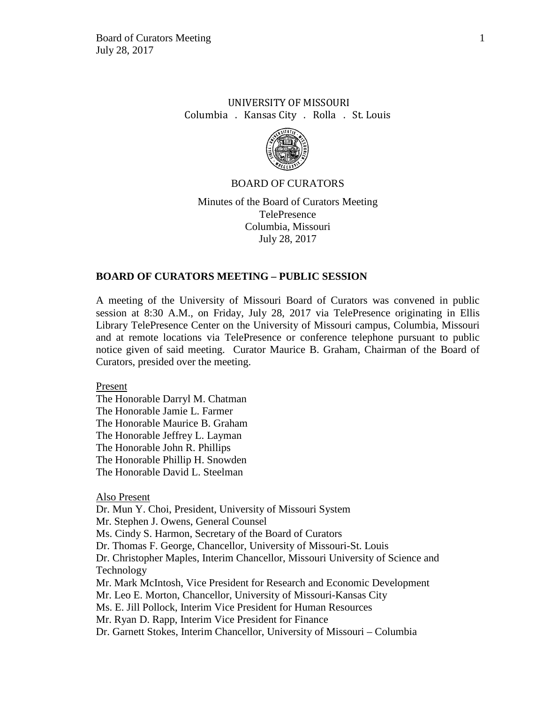# UNIVERSITY OF MISSOURI Columbia . Kansas City . Rolla . St. Louis



## BOARD OF CURATORS

Minutes of the Board of Curators Meeting TelePresence Columbia, Missouri July 28, 2017

## **BOARD OF CURATORS MEETING – PUBLIC SESSION**

A meeting of the University of Missouri Board of Curators was convened in public session at 8:30 A.M., on Friday, July 28, 2017 via TelePresence originating in Ellis Library TelePresence Center on the University of Missouri campus, Columbia, Missouri and at remote locations via TelePresence or conference telephone pursuant to public notice given of said meeting. Curator Maurice B. Graham, Chairman of the Board of Curators, presided over the meeting.

Present

The Honorable Darryl M. Chatman The Honorable Jamie L. Farmer The Honorable Maurice B. Graham The Honorable Jeffrey L. Layman The Honorable John R. Phillips The Honorable Phillip H. Snowden The Honorable David L. Steelman

Also Present

Dr. Mun Y. Choi, President, University of Missouri System

Mr. Stephen J. Owens, General Counsel

Ms. Cindy S. Harmon, Secretary of the Board of Curators

Dr. Thomas F. George, Chancellor, University of Missouri-St. Louis

Dr. Christopher Maples, Interim Chancellor, Missouri University of Science and Technology

Mr. Mark McIntosh, Vice President for Research and Economic Development

Mr. Leo E. Morton, Chancellor, University of Missouri-Kansas City

Ms. E. Jill Pollock, Interim Vice President for Human Resources

Mr. Ryan D. Rapp, Interim Vice President for Finance

Dr. Garnett Stokes, Interim Chancellor, University of Missouri – Columbia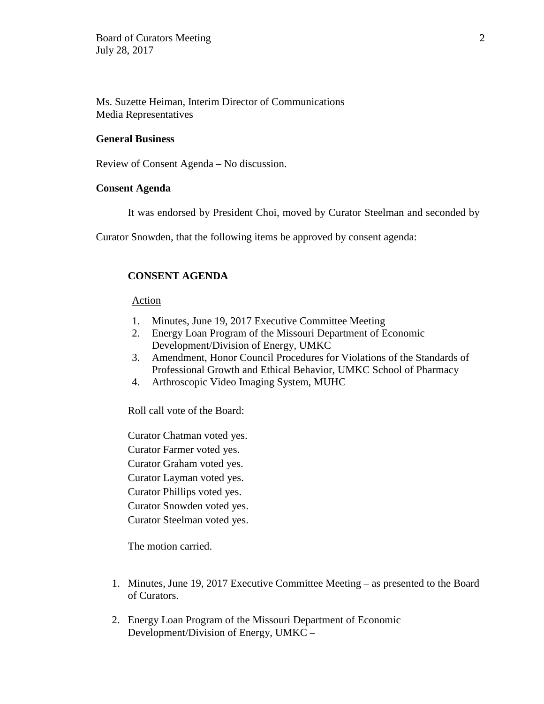Ms. Suzette Heiman, Interim Director of Communications Media Representatives

# **General Business**

Review of Consent Agenda – No discussion.

## **Consent Agenda**

It was endorsed by President Choi, moved by Curator Steelman and seconded by

Curator Snowden, that the following items be approved by consent agenda:

# **CONSENT AGENDA**

## Action

- 1. Minutes, June 19, 2017 Executive Committee Meeting
- 2. Energy Loan Program of the Missouri Department of Economic Development/Division of Energy, UMKC
- 3. Amendment, Honor Council Procedures for Violations of the Standards of Professional Growth and Ethical Behavior, UMKC School of Pharmacy
- 4. Arthroscopic Video Imaging System, MUHC

Roll call vote of the Board:

Curator Chatman voted yes. Curator Farmer voted yes. Curator Graham voted yes. Curator Layman voted yes. Curator Phillips voted yes. Curator Snowden voted yes. Curator Steelman voted yes.

The motion carried.

- 1. Minutes, June 19, 2017 Executive Committee Meeting as presented to the Board of Curators.
- 2. Energy Loan Program of the Missouri Department of Economic Development/Division of Energy, UMKC –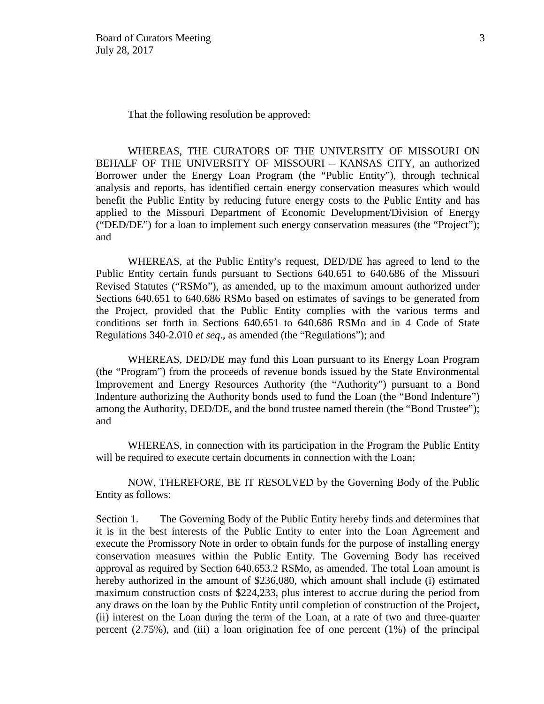That the following resolution be approved:

WHEREAS, THE CURATORS OF THE UNIVERSITY OF MISSOURI ON BEHALF OF THE UNIVERSITY OF MISSOURI – KANSAS CITY, an authorized Borrower under the Energy Loan Program (the "Public Entity"), through technical analysis and reports, has identified certain energy conservation measures which would benefit the Public Entity by reducing future energy costs to the Public Entity and has applied to the Missouri Department of Economic Development/Division of Energy ("DED/DE") for a loan to implement such energy conservation measures (the "Project"); and

WHEREAS, at the Public Entity's request, DED/DE has agreed to lend to the Public Entity certain funds pursuant to Sections 640.651 to 640.686 of the Missouri Revised Statutes ("RSMo"), as amended, up to the maximum amount authorized under Sections 640.651 to 640.686 RSMo based on estimates of savings to be generated from the Project, provided that the Public Entity complies with the various terms and conditions set forth in Sections 640.651 to 640.686 RSMo and in 4 Code of State Regulations 340-2.010 *et seq*., as amended (the "Regulations"); and

WHEREAS, DED/DE may fund this Loan pursuant to its Energy Loan Program (the "Program") from the proceeds of revenue bonds issued by the State Environmental Improvement and Energy Resources Authority (the "Authority") pursuant to a Bond Indenture authorizing the Authority bonds used to fund the Loan (the "Bond Indenture") among the Authority, DED/DE, and the bond trustee named therein (the "Bond Trustee"); and

WHEREAS, in connection with its participation in the Program the Public Entity will be required to execute certain documents in connection with the Loan;

NOW, THEREFORE, BE IT RESOLVED by the Governing Body of the Public Entity as follows:

Section 1. The Governing Body of the Public Entity hereby finds and determines that it is in the best interests of the Public Entity to enter into the Loan Agreement and execute the Promissory Note in order to obtain funds for the purpose of installing energy conservation measures within the Public Entity. The Governing Body has received approval as required by Section 640.653.2 RSMo, as amended. The total Loan amount is hereby authorized in the amount of \$236,080, which amount shall include (i) estimated maximum construction costs of \$224,233, plus interest to accrue during the period from any draws on the loan by the Public Entity until completion of construction of the Project, (ii) interest on the Loan during the term of the Loan, at a rate of two and three-quarter percent (2.75%), and (iii) a loan origination fee of one percent (1%) of the principal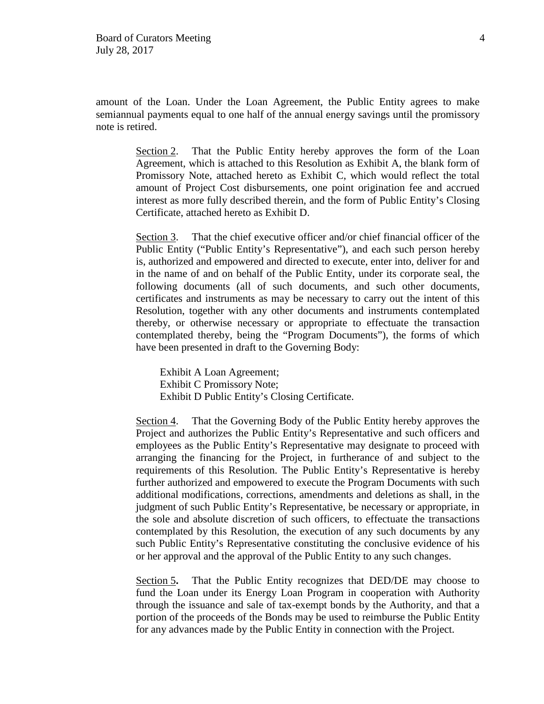amount of the Loan. Under the Loan Agreement, the Public Entity agrees to make semiannual payments equal to one half of the annual energy savings until the promissory note is retired.

> Section 2. That the Public Entity hereby approves the form of the Loan Agreement, which is attached to this Resolution as Exhibit A, the blank form of Promissory Note, attached hereto as Exhibit C, which would reflect the total amount of Project Cost disbursements, one point origination fee and accrued interest as more fully described therein, and the form of Public Entity's Closing Certificate, attached hereto as Exhibit D.

> Section 3. That the chief executive officer and/or chief financial officer of the Public Entity ("Public Entity's Representative"), and each such person hereby is, authorized and empowered and directed to execute, enter into, deliver for and in the name of and on behalf of the Public Entity, under its corporate seal, the following documents (all of such documents, and such other documents, certificates and instruments as may be necessary to carry out the intent of this Resolution, together with any other documents and instruments contemplated thereby, or otherwise necessary or appropriate to effectuate the transaction contemplated thereby, being the "Program Documents"), the forms of which have been presented in draft to the Governing Body:

Exhibit A Loan Agreement; Exhibit C Promissory Note; Exhibit D Public Entity's Closing Certificate.

Section 4. That the Governing Body of the Public Entity hereby approves the Project and authorizes the Public Entity's Representative and such officers and employees as the Public Entity's Representative may designate to proceed with arranging the financing for the Project, in furtherance of and subject to the requirements of this Resolution. The Public Entity's Representative is hereby further authorized and empowered to execute the Program Documents with such additional modifications, corrections, amendments and deletions as shall, in the judgment of such Public Entity's Representative, be necessary or appropriate, in the sole and absolute discretion of such officers, to effectuate the transactions contemplated by this Resolution, the execution of any such documents by any such Public Entity's Representative constituting the conclusive evidence of his or her approval and the approval of the Public Entity to any such changes.

Section 5. That the Public Entity recognizes that DED/DE may choose to fund the Loan under its Energy Loan Program in cooperation with Authority through the issuance and sale of tax-exempt bonds by the Authority, and that a portion of the proceeds of the Bonds may be used to reimburse the Public Entity for any advances made by the Public Entity in connection with the Project.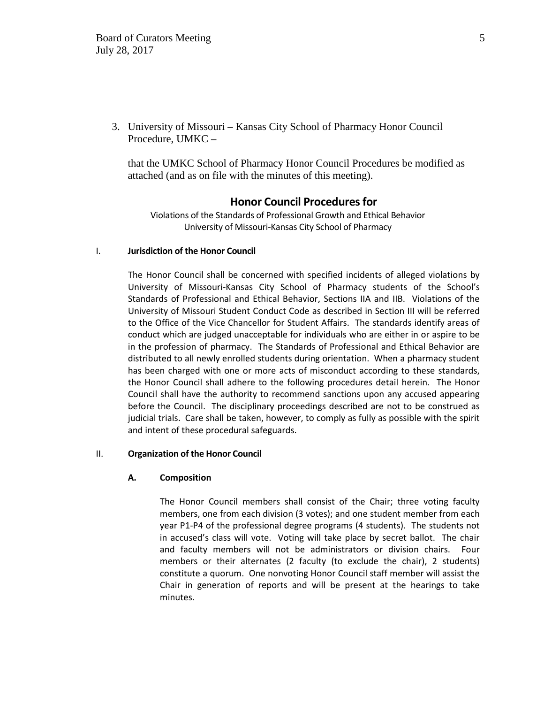3. University of Missouri – Kansas City School of Pharmacy Honor Council Procedure, UMKC –

that the UMKC School of Pharmacy Honor Council Procedures be modified as attached (and as on file with the minutes of this meeting).

## **Honor Council Procedures for**

Violations of the Standards of Professional Growth and Ethical Behavior University of Missouri-Kansas City School of Pharmacy

#### I. **Jurisdiction of the Honor Council**

The Honor Council shall be concerned with specified incidents of alleged violations by University of Missouri-Kansas City School of Pharmacy students of the School's Standards of Professional and Ethical Behavior, Sections IIA and IIB. Violations of the University of Missouri Student Conduct Code as described in Section III will be referred to the Office of the Vice Chancellor for Student Affairs. The standards identify areas of conduct which are judged unacceptable for individuals who are either in or aspire to be in the profession of pharmacy. The Standards of Professional and Ethical Behavior are distributed to all newly enrolled students during orientation. When a pharmacy student has been charged with one or more acts of misconduct according to these standards, the Honor Council shall adhere to the following procedures detail herein. The Honor Council shall have the authority to recommend sanctions upon any accused appearing before the Council. The disciplinary proceedings described are not to be construed as judicial trials. Care shall be taken, however, to comply as fully as possible with the spirit and intent of these procedural safeguards.

#### II. **Organization of the Honor Council**

#### **A. Composition**

The Honor Council members shall consist of the Chair; three voting faculty members, one from each division (3 votes); and one student member from each year P1-P4 of the professional degree programs (4 students). The students not in accused's class will vote. Voting will take place by secret ballot. The chair and faculty members will not be administrators or division chairs. Four members or their alternates (2 faculty (to exclude the chair), 2 students) constitute a quorum. One nonvoting Honor Council staff member will assist the Chair in generation of reports and will be present at the hearings to take minutes.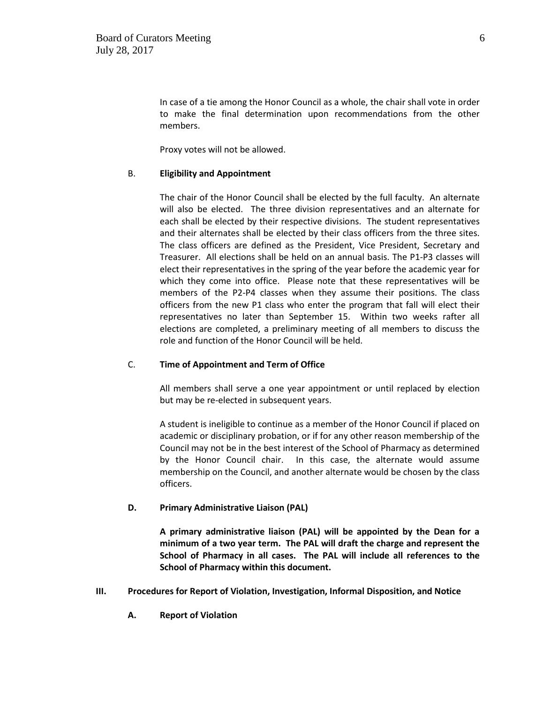In case of a tie among the Honor Council as a whole, the chair shall vote in order to make the final determination upon recommendations from the other members.

Proxy votes will not be allowed.

### B. **Eligibility and Appointment**

The chair of the Honor Council shall be elected by the full faculty. An alternate will also be elected. The three division representatives and an alternate for each shall be elected by their respective divisions. The student representatives and their alternates shall be elected by their class officers from the three sites. The class officers are defined as the President, Vice President, Secretary and Treasurer. All elections shall be held on an annual basis. The P1-P3 classes will elect their representatives in the spring of the year before the academic year for which they come into office. Please note that these representatives will be members of the P2-P4 classes when they assume their positions. The class officers from the new P1 class who enter the program that fall will elect their representatives no later than September 15. Within two weeks rafter all elections are completed, a preliminary meeting of all members to discuss the role and function of the Honor Council will be held.

## C. **Time of Appointment and Term of Office**

All members shall serve a one year appointment or until replaced by election but may be re-elected in subsequent years.

A student is ineligible to continue as a member of the Honor Council if placed on academic or disciplinary probation, or if for any other reason membership of the Council may not be in the best interest of the School of Pharmacy as determined by the Honor Council chair. In this case, the alternate would assume membership on the Council, and another alternate would be chosen by the class officers.

## **D. Primary Administrative Liaison (PAL)**

**A primary administrative liaison (PAL) will be appointed by the Dean for a minimum of a two year term. The PAL will draft the charge and represent the School of Pharmacy in all cases. The PAL will include all references to the School of Pharmacy within this document.**

- **III. Procedures for Report of Violation, Investigation, Informal Disposition, and Notice**
	- **A. Report of Violation**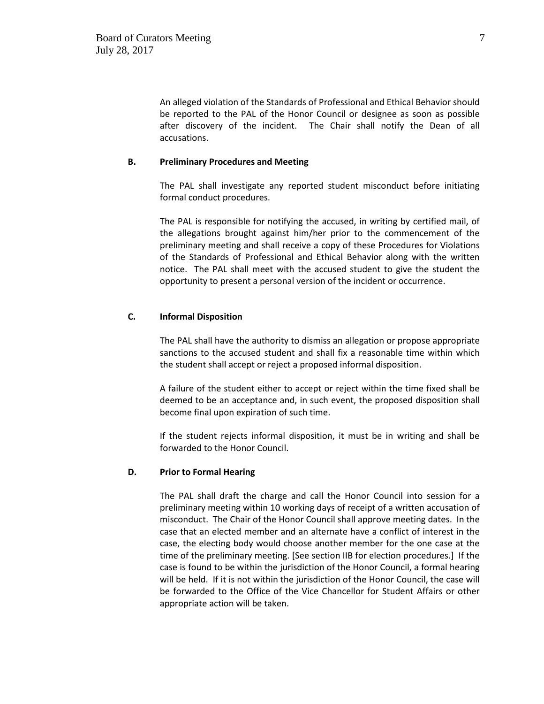An alleged violation of the Standards of Professional and Ethical Behavior should be reported to the PAL of the Honor Council or designee as soon as possible after discovery of the incident. The Chair shall notify the Dean of all accusations.

### **B. Preliminary Procedures and Meeting**

The PAL shall investigate any reported student misconduct before initiating formal conduct procedures.

The PAL is responsible for notifying the accused, in writing by certified mail, of the allegations brought against him/her prior to the commencement of the preliminary meeting and shall receive a copy of these Procedures for Violations of the Standards of Professional and Ethical Behavior along with the written notice. The PAL shall meet with the accused student to give the student the opportunity to present a personal version of the incident or occurrence.

### **C. Informal Disposition**

The PAL shall have the authority to dismiss an allegation or propose appropriate sanctions to the accused student and shall fix a reasonable time within which the student shall accept or reject a proposed informal disposition.

A failure of the student either to accept or reject within the time fixed shall be deemed to be an acceptance and, in such event, the proposed disposition shall become final upon expiration of such time.

If the student rejects informal disposition, it must be in writing and shall be forwarded to the Honor Council.

#### **D. Prior to Formal Hearing**

The PAL shall draft the charge and call the Honor Council into session for a preliminary meeting within 10 working days of receipt of a written accusation of misconduct. The Chair of the Honor Council shall approve meeting dates. In the case that an elected member and an alternate have a conflict of interest in the case, the electing body would choose another member for the one case at the time of the preliminary meeting. [See section IIB for election procedures.] If the case is found to be within the jurisdiction of the Honor Council, a formal hearing will be held. If it is not within the jurisdiction of the Honor Council, the case will be forwarded to the Office of the Vice Chancellor for Student Affairs or other appropriate action will be taken.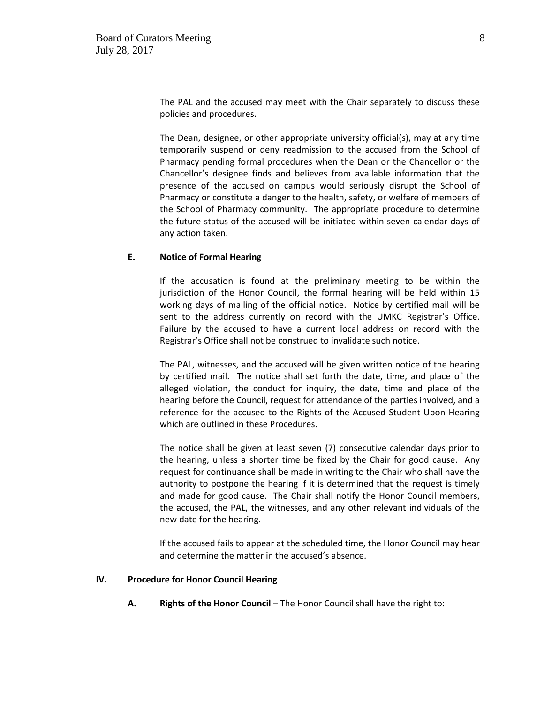The PAL and the accused may meet with the Chair separately to discuss these policies and procedures.

The Dean, designee, or other appropriate university official(s), may at any time temporarily suspend or deny readmission to the accused from the School of Pharmacy pending formal procedures when the Dean or the Chancellor or the Chancellor's designee finds and believes from available information that the presence of the accused on campus would seriously disrupt the School of Pharmacy or constitute a danger to the health, safety, or welfare of members of the School of Pharmacy community. The appropriate procedure to determine the future status of the accused will be initiated within seven calendar days of any action taken.

#### **E. Notice of Formal Hearing**

If the accusation is found at the preliminary meeting to be within the jurisdiction of the Honor Council, the formal hearing will be held within 15 working days of mailing of the official notice. Notice by certified mail will be sent to the address currently on record with the UMKC Registrar's Office. Failure by the accused to have a current local address on record with the Registrar's Office shall not be construed to invalidate such notice.

The PAL, witnesses, and the accused will be given written notice of the hearing by certified mail. The notice shall set forth the date, time, and place of the alleged violation, the conduct for inquiry, the date, time and place of the hearing before the Council, request for attendance of the parties involved, and a reference for the accused to the Rights of the Accused Student Upon Hearing which are outlined in these Procedures.

The notice shall be given at least seven (7) consecutive calendar days prior to the hearing, unless a shorter time be fixed by the Chair for good cause. Any request for continuance shall be made in writing to the Chair who shall have the authority to postpone the hearing if it is determined that the request is timely and made for good cause. The Chair shall notify the Honor Council members, the accused, the PAL, the witnesses, and any other relevant individuals of the new date for the hearing.

If the accused fails to appear at the scheduled time, the Honor Council may hear and determine the matter in the accused's absence.

#### **IV. Procedure for Honor Council Hearing**

**A. Rights of the Honor Council** – The Honor Council shall have the right to: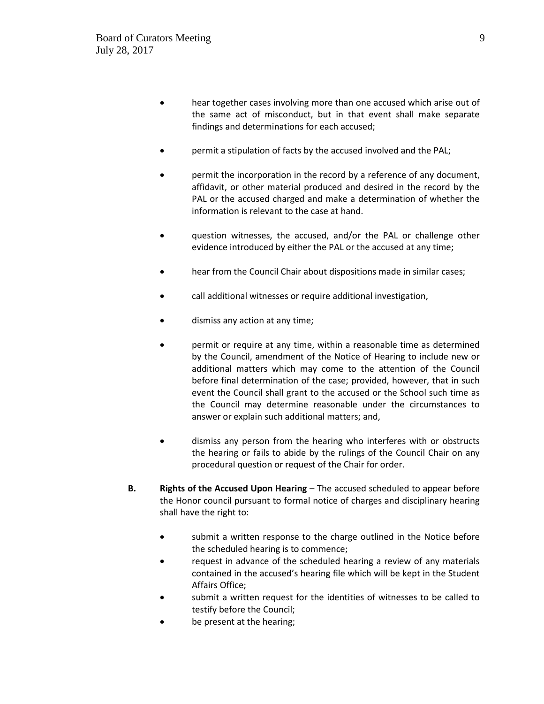- hear together cases involving more than one accused which arise out of the same act of misconduct, but in that event shall make separate findings and determinations for each accused;
- permit a stipulation of facts by the accused involved and the PAL;
- permit the incorporation in the record by a reference of any document, affidavit, or other material produced and desired in the record by the PAL or the accused charged and make a determination of whether the information is relevant to the case at hand.
- question witnesses, the accused, and/or the PAL or challenge other evidence introduced by either the PAL or the accused at any time;
- hear from the Council Chair about dispositions made in similar cases;
- call additional witnesses or require additional investigation,
- dismiss any action at any time;
- permit or require at any time, within a reasonable time as determined by the Council, amendment of the Notice of Hearing to include new or additional matters which may come to the attention of the Council before final determination of the case; provided, however, that in such event the Council shall grant to the accused or the School such time as the Council may determine reasonable under the circumstances to answer or explain such additional matters; and,
- dismiss any person from the hearing who interferes with or obstructs the hearing or fails to abide by the rulings of the Council Chair on any procedural question or request of the Chair for order.
- **B. Rights of the Accused Upon Hearing** The accused scheduled to appear before the Honor council pursuant to formal notice of charges and disciplinary hearing shall have the right to:
	- submit a written response to the charge outlined in the Notice before the scheduled hearing is to commence;
	- request in advance of the scheduled hearing a review of any materials contained in the accused's hearing file which will be kept in the Student Affairs Office;
	- submit a written request for the identities of witnesses to be called to testify before the Council;
	- be present at the hearing;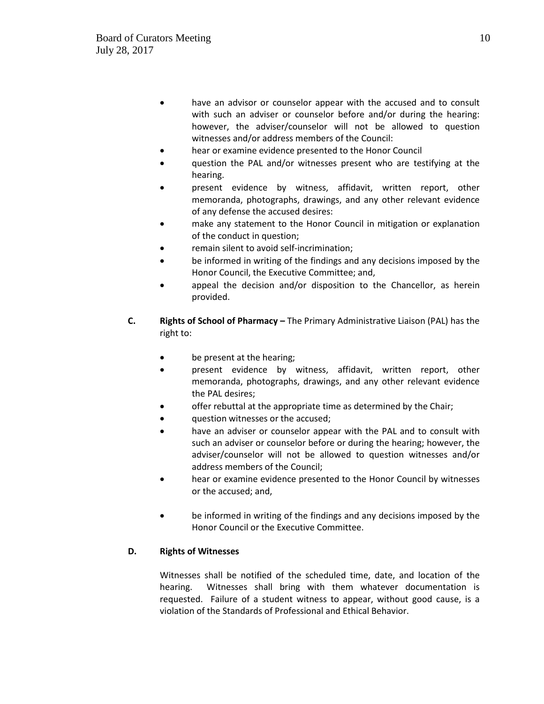- have an advisor or counselor appear with the accused and to consult with such an adviser or counselor before and/or during the hearing: however, the adviser/counselor will not be allowed to question witnesses and/or address members of the Council:
- hear or examine evidence presented to the Honor Council
- question the PAL and/or witnesses present who are testifying at the hearing.
- present evidence by witness, affidavit, written report, other memoranda, photographs, drawings, and any other relevant evidence of any defense the accused desires:
- make any statement to the Honor Council in mitigation or explanation of the conduct in question;
- remain silent to avoid self-incrimination;
- be informed in writing of the findings and any decisions imposed by the Honor Council, the Executive Committee; and,
- appeal the decision and/or disposition to the Chancellor, as herein provided.
- **C. Rights of School of Pharmacy** The Primary Administrative Liaison (PAL) has the right to:
	- be present at the hearing;
	- present evidence by witness, affidavit, written report, other memoranda, photographs, drawings, and any other relevant evidence the PAL desires;
	- offer rebuttal at the appropriate time as determined by the Chair;
	- question witnesses or the accused;
	- have an adviser or counselor appear with the PAL and to consult with such an adviser or counselor before or during the hearing; however, the adviser/counselor will not be allowed to question witnesses and/or address members of the Council;
	- hear or examine evidence presented to the Honor Council by witnesses or the accused; and,
	- be informed in writing of the findings and any decisions imposed by the Honor Council or the Executive Committee.

# **D. Rights of Witnesses**

Witnesses shall be notified of the scheduled time, date, and location of the hearing. Witnesses shall bring with them whatever documentation is requested. Failure of a student witness to appear, without good cause, is a violation of the Standards of Professional and Ethical Behavior.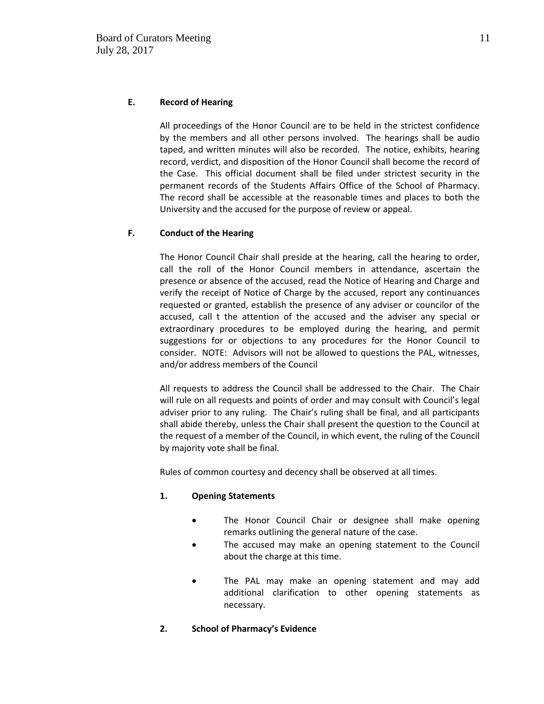## **E. Record of Hearing**

All proceedings of the Honor Council are to be held in the strictest confidence by the members and all other persons involved. The hearings shall be audio taped, and written minutes will also be recorded. The notice, exhibits, hearing record, verdict, and disposition of the Honor Council shall become the record of the Case. This official document shall be filed under strictest security in the permanent records of the Students Affairs Office of the School of Pharmacy. The record shall be accessible at the reasonable times and places to both the University and the accused for the purpose of review or appeal.

## **F. Conduct of the Hearing**

The Honor Council Chair shall preside at the hearing, call the hearing to order, call the roll of the Honor Council members in attendance, ascertain the presence or absence of the accused, read the Notice of Hearing and Charge and verify the receipt of Notice of Charge by the accused, report any continuances requested or granted, establish the presence of any adviser or councilor of the accused, call t the attention of the accused and the adviser any special or extraordinary procedures to be employed during the hearing, and permit suggestions for or objections to any procedures for the Honor Council to consider. NOTE: Advisors will not be allowed to questions the PAL, witnesses, and/or address members of the Council

All requests to address the Council shall be addressed to the Chair. The Chair will rule on all requests and points of order and may consult with Council's legal adviser prior to any ruling. The Chair's ruling shall be final, and all participants shall abide thereby, unless the Chair shall present the question to the Council at the request of a member of the Council, in which event, the ruling of the Council by majority vote shall be final.

Rules of common courtesy and decency shall be observed at all times.

## **1. Opening Statements**

- The Honor Council Chair or designee shall make opening remarks outlining the general nature of the case.
- The accused may make an opening statement to the Council about the charge at this time.
- The PAL may make an opening statement and may add additional clarification to other opening statements as necessary.
- **2. School of Pharmacy's Evidence**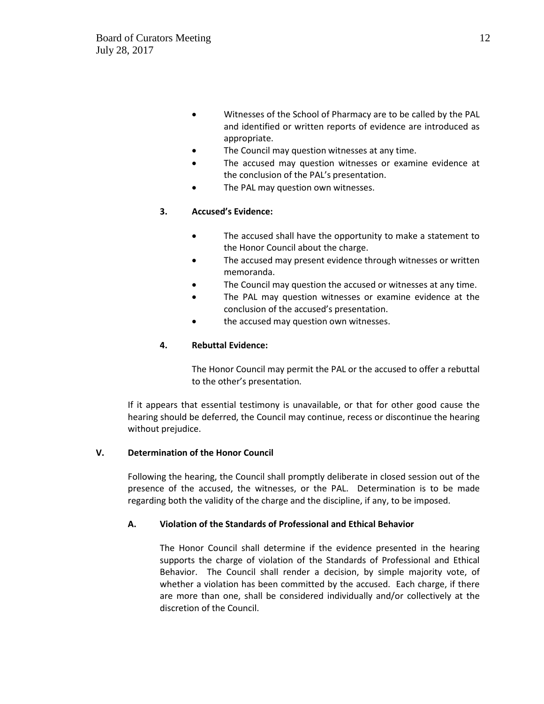- Witnesses of the School of Pharmacy are to be called by the PAL and identified or written reports of evidence are introduced as appropriate.
- The Council may question witnesses at any time.
- The accused may question witnesses or examine evidence at the conclusion of the PAL's presentation.
- The PAL may question own witnesses.

# **3. Accused's Evidence:**

- The accused shall have the opportunity to make a statement to the Honor Council about the charge.
- The accused may present evidence through witnesses or written memoranda.
- The Council may question the accused or witnesses at any time.
- The PAL may question witnesses or examine evidence at the conclusion of the accused's presentation.
- the accused may question own witnesses.

## **4. Rebuttal Evidence:**

The Honor Council may permit the PAL or the accused to offer a rebuttal to the other's presentation.

If it appears that essential testimony is unavailable, or that for other good cause the hearing should be deferred, the Council may continue, recess or discontinue the hearing without prejudice.

## **V. Determination of the Honor Council**

Following the hearing, the Council shall promptly deliberate in closed session out of the presence of the accused, the witnesses, or the PAL. Determination is to be made regarding both the validity of the charge and the discipline, if any, to be imposed.

# **A. Violation of the Standards of Professional and Ethical Behavior**

The Honor Council shall determine if the evidence presented in the hearing supports the charge of violation of the Standards of Professional and Ethical Behavior. The Council shall render a decision, by simple majority vote, of whether a violation has been committed by the accused. Each charge, if there are more than one, shall be considered individually and/or collectively at the discretion of the Council.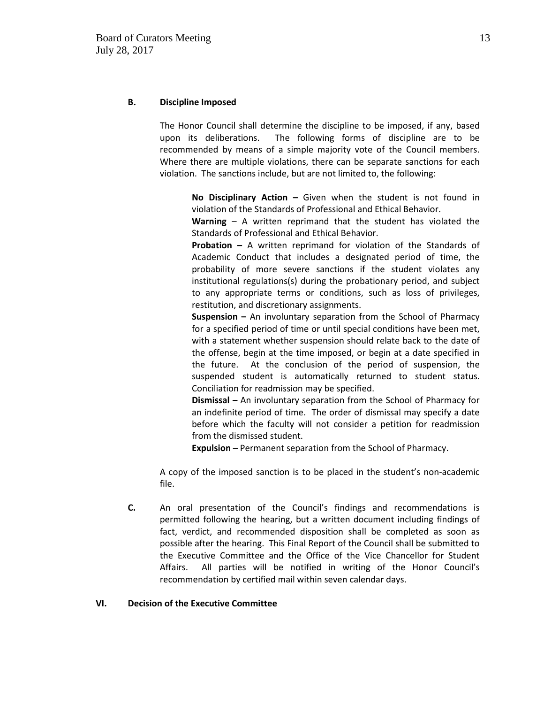### **B. Discipline Imposed**

The Honor Council shall determine the discipline to be imposed, if any, based upon its deliberations. The following forms of discipline are to be recommended by means of a simple majority vote of the Council members. Where there are multiple violations, there can be separate sanctions for each violation. The sanctions include, but are not limited to, the following:

**No Disciplinary Action –** Given when the student is not found in violation of the Standards of Professional and Ethical Behavior.

**Warning** – A written reprimand that the student has violated the Standards of Professional and Ethical Behavior.

**Probation –** A written reprimand for violation of the Standards of Academic Conduct that includes a designated period of time, the probability of more severe sanctions if the student violates any institutional regulations(s) during the probationary period, and subject to any appropriate terms or conditions, such as loss of privileges, restitution, and discretionary assignments.

**Suspension –** An involuntary separation from the School of Pharmacy for a specified period of time or until special conditions have been met, with a statement whether suspension should relate back to the date of the offense, begin at the time imposed, or begin at a date specified in the future. At the conclusion of the period of suspension, the suspended student is automatically returned to student status. Conciliation for readmission may be specified.

**Dismissal –** An involuntary separation from the School of Pharmacy for an indefinite period of time. The order of dismissal may specify a date before which the faculty will not consider a petition for readmission from the dismissed student.

**Expulsion –** Permanent separation from the School of Pharmacy.

A copy of the imposed sanction is to be placed in the student's non-academic file.

**C.** An oral presentation of the Council's findings and recommendations is permitted following the hearing, but a written document including findings of fact, verdict, and recommended disposition shall be completed as soon as possible after the hearing. This Final Report of the Council shall be submitted to the Executive Committee and the Office of the Vice Chancellor for Student Affairs. All parties will be notified in writing of the Honor Council's recommendation by certified mail within seven calendar days.

#### **VI. Decision of the Executive Committee**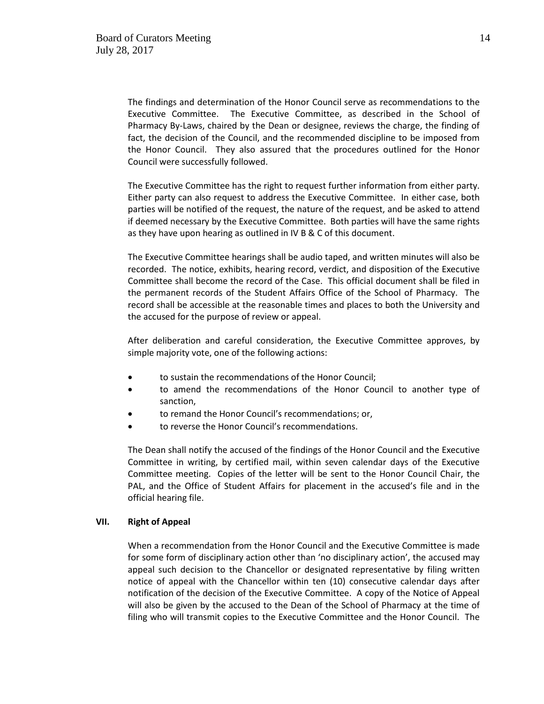The findings and determination of the Honor Council serve as recommendations to the Executive Committee. The Executive Committee, as described in the School of Pharmacy By-Laws, chaired by the Dean or designee, reviews the charge, the finding of fact, the decision of the Council, and the recommended discipline to be imposed from the Honor Council. They also assured that the procedures outlined for the Honor Council were successfully followed.

The Executive Committee has the right to request further information from either party. Either party can also request to address the Executive Committee. In either case, both parties will be notified of the request, the nature of the request, and be asked to attend if deemed necessary by the Executive Committee. Both parties will have the same rights as they have upon hearing as outlined in IV B & C of this document.

The Executive Committee hearings shall be audio taped, and written minutes will also be recorded. The notice, exhibits, hearing record, verdict, and disposition of the Executive Committee shall become the record of the Case. This official document shall be filed in the permanent records of the Student Affairs Office of the School of Pharmacy. The record shall be accessible at the reasonable times and places to both the University and the accused for the purpose of review or appeal.

After deliberation and careful consideration, the Executive Committee approves, by simple majority vote, one of the following actions:

- to sustain the recommendations of the Honor Council;
- to amend the recommendations of the Honor Council to another type of sanction,
- to remand the Honor Council's recommendations; or,
- to reverse the Honor Council's recommendations.

The Dean shall notify the accused of the findings of the Honor Council and the Executive Committee in writing, by certified mail, within seven calendar days of the Executive Committee meeting. Copies of the letter will be sent to the Honor Council Chair, the PAL, and the Office of Student Affairs for placement in the accused's file and in the official hearing file.

#### **VII. Right of Appeal**

When a recommendation from the Honor Council and the Executive Committee is made for some form of disciplinary action other than 'no disciplinary action', the accused may appeal such decision to the Chancellor or designated representative by filing written notice of appeal with the Chancellor within ten (10) consecutive calendar days after notification of the decision of the Executive Committee. A copy of the Notice of Appeal will also be given by the accused to the Dean of the School of Pharmacy at the time of filing who will transmit copies to the Executive Committee and the Honor Council. The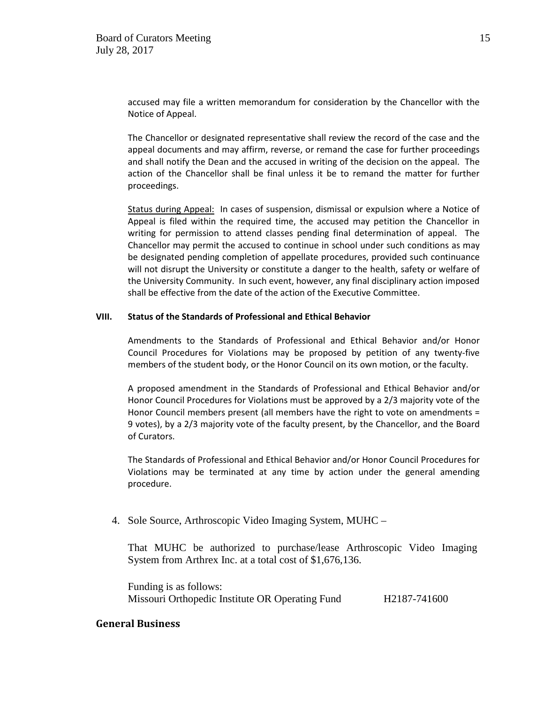accused may file a written memorandum for consideration by the Chancellor with the Notice of Appeal.

The Chancellor or designated representative shall review the record of the case and the appeal documents and may affirm, reverse, or remand the case for further proceedings and shall notify the Dean and the accused in writing of the decision on the appeal. The action of the Chancellor shall be final unless it be to remand the matter for further proceedings.

Status during Appeal: In cases of suspension, dismissal or expulsion where a Notice of Appeal is filed within the required time, the accused may petition the Chancellor in writing for permission to attend classes pending final determination of appeal. The Chancellor may permit the accused to continue in school under such conditions as may be designated pending completion of appellate procedures, provided such continuance will not disrupt the University or constitute a danger to the health, safety or welfare of the University Community. In such event, however, any final disciplinary action imposed shall be effective from the date of the action of the Executive Committee.

#### **VIII. Status of the Standards of Professional and Ethical Behavior**

Amendments to the Standards of Professional and Ethical Behavior and/or Honor Council Procedures for Violations may be proposed by petition of any twenty-five members of the student body, or the Honor Council on its own motion, or the faculty.

A proposed amendment in the Standards of Professional and Ethical Behavior and/or Honor Council Procedures for Violations must be approved by a 2/3 majority vote of the Honor Council members present (all members have the right to vote on amendments = 9 votes), by a 2/3 majority vote of the faculty present, by the Chancellor, and the Board of Curators.

The Standards of Professional and Ethical Behavior and/or Honor Council Procedures for Violations may be terminated at any time by action under the general amending procedure.

4. Sole Source, Arthroscopic Video Imaging System, MUHC –

That MUHC be authorized to purchase/lease Arthroscopic Video Imaging System from Arthrex Inc. at a total cost of \$1,676,136.

Funding is as follows: Missouri Orthopedic Institute OR Operating Fund H2187-741600

## **General Business**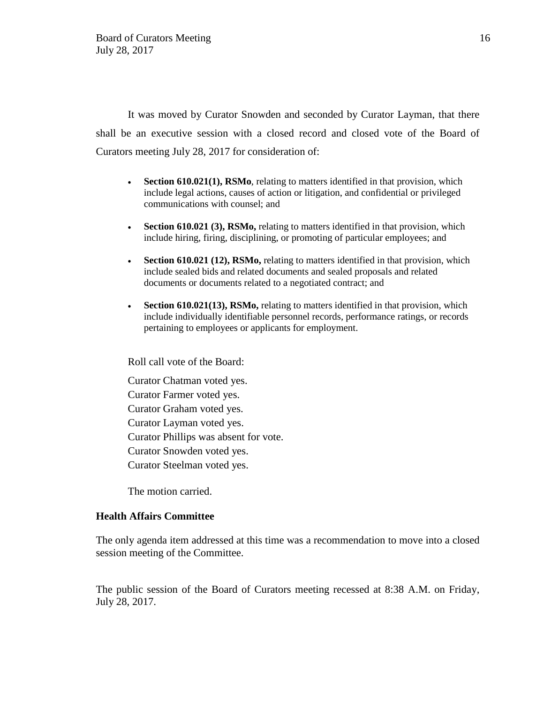It was moved by Curator Snowden and seconded by Curator Layman, that there shall be an executive session with a closed record and closed vote of the Board of Curators meeting July 28, 2017 for consideration of:

- **Section 610.021(1), RSMo**, relating to matters identified in that provision, which include legal actions, causes of action or litigation, and confidential or privileged communications with counsel; and
- **Section 610.021 (3), RSMo,** relating to matters identified in that provision, which include hiring, firing, disciplining, or promoting of particular employees; and
- **Section 610.021 (12), RSMo,** relating to matters identified in that provision, which include sealed bids and related documents and sealed proposals and related documents or documents related to a negotiated contract; and
- **Section 610.021(13), RSMo,** relating to matters identified in that provision, which include individually identifiable personnel records, performance ratings, or records pertaining to employees or applicants for employment.

Roll call vote of the Board:

Curator Chatman voted yes. Curator Farmer voted yes. Curator Graham voted yes. Curator Layman voted yes. Curator Phillips was absent for vote. Curator Snowden voted yes. Curator Steelman voted yes.

The motion carried.

# **Health Affairs Committee**

The only agenda item addressed at this time was a recommendation to move into a closed session meeting of the Committee.

The public session of the Board of Curators meeting recessed at 8:38 A.M. on Friday, July 28, 2017.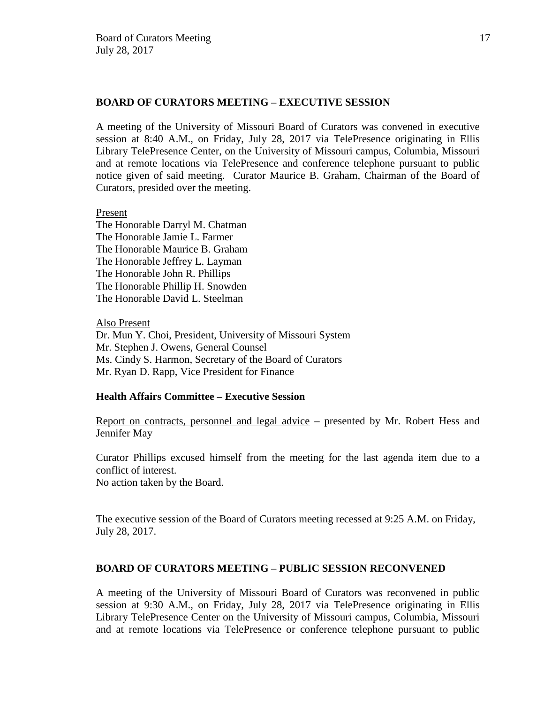# **BOARD OF CURATORS MEETING – EXECUTIVE SESSION**

A meeting of the University of Missouri Board of Curators was convened in executive session at 8:40 A.M., on Friday, July 28, 2017 via TelePresence originating in Ellis Library TelePresence Center, on the University of Missouri campus, Columbia, Missouri and at remote locations via TelePresence and conference telephone pursuant to public notice given of said meeting. Curator Maurice B. Graham, Chairman of the Board of Curators, presided over the meeting.

## Present

The Honorable Darryl M. Chatman The Honorable Jamie L. Farmer The Honorable Maurice B. Graham The Honorable Jeffrey L. Layman The Honorable John R. Phillips The Honorable Phillip H. Snowden The Honorable David L. Steelman

Also Present Dr. Mun Y. Choi, President, University of Missouri System Mr. Stephen J. Owens, General Counsel Ms. Cindy S. Harmon, Secretary of the Board of Curators Mr. Ryan D. Rapp, Vice President for Finance

## **Health Affairs Committee – Executive Session**

Report on contracts, personnel and legal advice – presented by Mr. Robert Hess and Jennifer May

Curator Phillips excused himself from the meeting for the last agenda item due to a conflict of interest.

No action taken by the Board.

The executive session of the Board of Curators meeting recessed at 9:25 A.M. on Friday, July 28, 2017.

## **BOARD OF CURATORS MEETING – PUBLIC SESSION RECONVENED**

A meeting of the University of Missouri Board of Curators was reconvened in public session at 9:30 A.M., on Friday, July 28, 2017 via TelePresence originating in Ellis Library TelePresence Center on the University of Missouri campus, Columbia, Missouri and at remote locations via TelePresence or conference telephone pursuant to public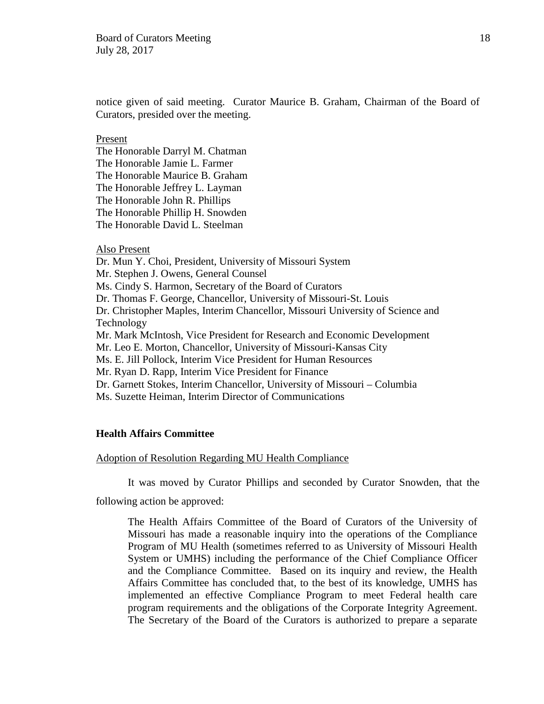notice given of said meeting. Curator Maurice B. Graham, Chairman of the Board of Curators, presided over the meeting.

#### Present

The Honorable Darryl M. Chatman The Honorable Jamie L. Farmer The Honorable Maurice B. Graham The Honorable Jeffrey L. Layman The Honorable John R. Phillips The Honorable Phillip H. Snowden The Honorable David L. Steelman

## Also Present

Dr. Mun Y. Choi, President, University of Missouri System Mr. Stephen J. Owens, General Counsel Ms. Cindy S. Harmon, Secretary of the Board of Curators Dr. Thomas F. George, Chancellor, University of Missouri-St. Louis Dr. Christopher Maples, Interim Chancellor, Missouri University of Science and Technology Mr. Mark McIntosh, Vice President for Research and Economic Development Mr. Leo E. Morton, Chancellor, University of Missouri-Kansas City Ms. E. Jill Pollock, Interim Vice President for Human Resources Mr. Ryan D. Rapp, Interim Vice President for Finance Dr. Garnett Stokes, Interim Chancellor, University of Missouri – Columbia Ms. Suzette Heiman, Interim Director of Communications

## **Health Affairs Committee**

#### Adoption of Resolution Regarding MU Health Compliance

It was moved by Curator Phillips and seconded by Curator Snowden, that the

following action be approved:

The Health Affairs Committee of the Board of Curators of the University of Missouri has made a reasonable inquiry into the operations of the Compliance Program of MU Health (sometimes referred to as University of Missouri Health System or UMHS) including the performance of the Chief Compliance Officer and the Compliance Committee. Based on its inquiry and review, the Health Affairs Committee has concluded that, to the best of its knowledge, UMHS has implemented an effective Compliance Program to meet Federal health care program requirements and the obligations of the Corporate Integrity Agreement. The Secretary of the Board of the Curators is authorized to prepare a separate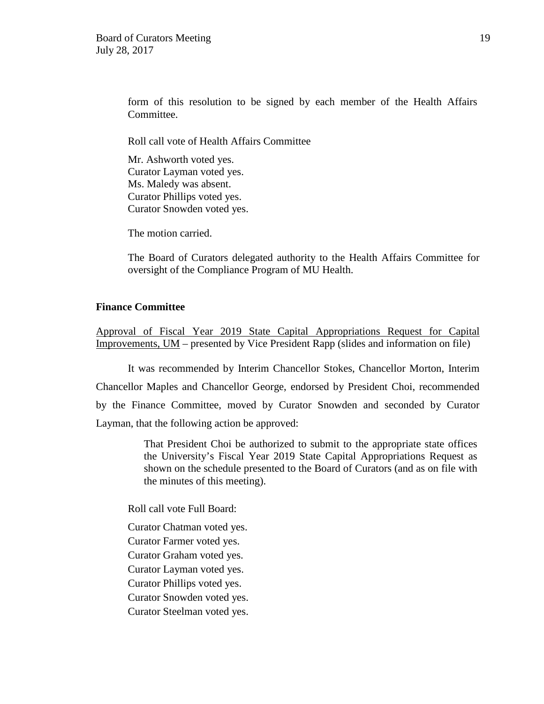form of this resolution to be signed by each member of the Health Affairs Committee.

Roll call vote of Health Affairs Committee

 Mr. Ashworth voted yes. Curator Layman voted yes. Ms. Maledy was absent. Curator Phillips voted yes. Curator Snowden voted yes.

The motion carried.

The Board of Curators delegated authority to the Health Affairs Committee for oversight of the Compliance Program of MU Health.

## **Finance Committee**

Approval of Fiscal Year 2019 State Capital Appropriations Request for Capital Improvements, UM – presented by Vice President Rapp (slides and information on file)

It was recommended by Interim Chancellor Stokes, Chancellor Morton, Interim Chancellor Maples and Chancellor George, endorsed by President Choi, recommended by the Finance Committee, moved by Curator Snowden and seconded by Curator Layman, that the following action be approved:

> That President Choi be authorized to submit to the appropriate state offices the University's Fiscal Year 2019 State Capital Appropriations Request as shown on the schedule presented to the Board of Curators (and as on file with the minutes of this meeting).

Roll call vote Full Board:

Curator Chatman voted yes.

Curator Farmer voted yes.

Curator Graham voted yes.

Curator Layman voted yes.

Curator Phillips voted yes.

Curator Snowden voted yes.

Curator Steelman voted yes.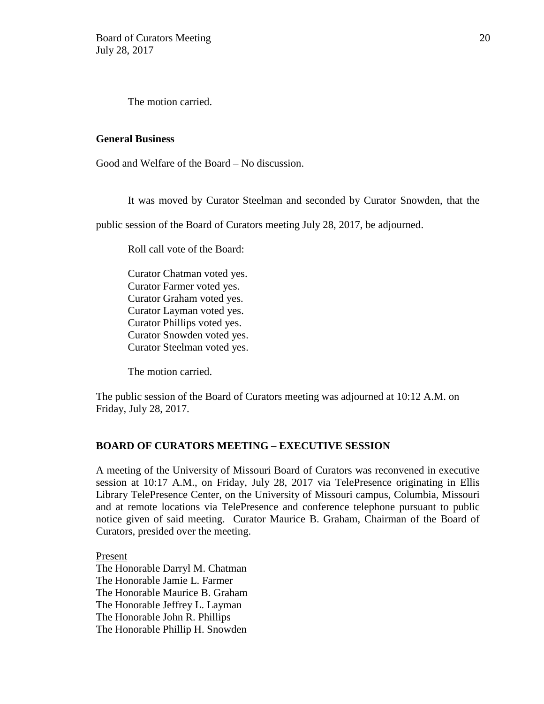The motion carried.

## **General Business**

Good and Welfare of the Board – No discussion.

It was moved by Curator Steelman and seconded by Curator Snowden, that the

public session of the Board of Curators meeting July 28, 2017, be adjourned.

Roll call vote of the Board:

Curator Chatman voted yes. Curator Farmer voted yes. Curator Graham voted yes. Curator Layman voted yes. Curator Phillips voted yes. Curator Snowden voted yes. Curator Steelman voted yes.

The motion carried.

The public session of the Board of Curators meeting was adjourned at 10:12 A.M. on Friday, July 28, 2017.

# **BOARD OF CURATORS MEETING – EXECUTIVE SESSION**

A meeting of the University of Missouri Board of Curators was reconvened in executive session at 10:17 A.M., on Friday, July 28, 2017 via TelePresence originating in Ellis Library TelePresence Center, on the University of Missouri campus, Columbia, Missouri and at remote locations via TelePresence and conference telephone pursuant to public notice given of said meeting. Curator Maurice B. Graham, Chairman of the Board of Curators, presided over the meeting.

Present The Honorable Darryl M. Chatman The Honorable Jamie L. Farmer The Honorable Maurice B. Graham The Honorable Jeffrey L. Layman The Honorable John R. Phillips The Honorable Phillip H. Snowden